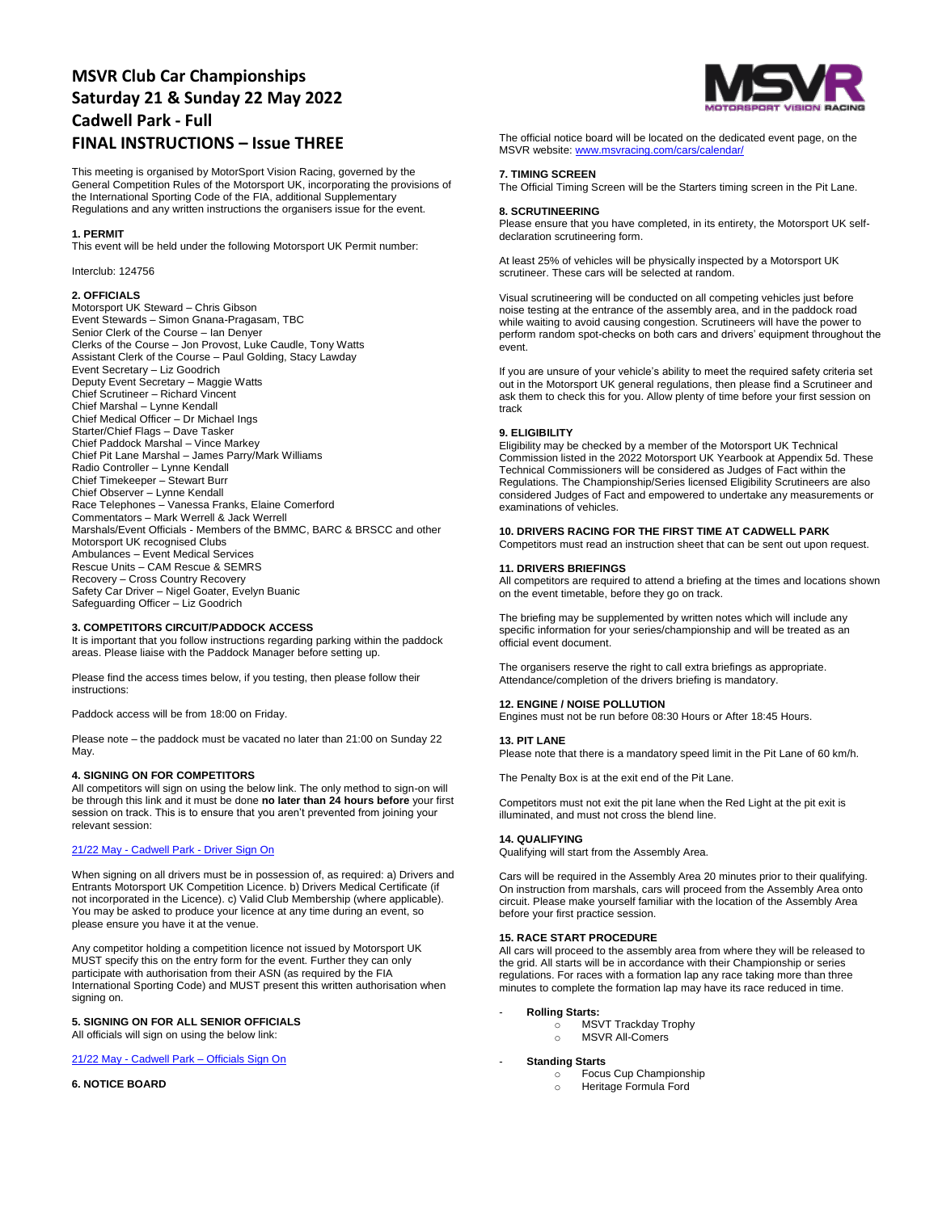# **MSVR Club Car Championships Saturday 21 & Sunday 22 May 2022 Cadwell Park - Full FINAL INSTRUCTIONS – Issue THREE**

This meeting is organised by MotorSport Vision Racing, governed by the General Competition Rules of the Motorsport UK, incorporating the provisions of the International Sporting Code of the FIA, additional Supplementary Regulations and any written instructions the organisers issue for the event.

#### **1. PERMIT**

This event will be held under the following Motorsport UK Permit number:

Interclub: 124756

# **2. OFFICIALS**

Motorsport UK Steward – Chris Gibson Event Stewards – Simon Gnana-Pragasam, TBC Senior Clerk of the Course – Ian Denyer Clerks of the Course – Jon Provost, Luke Caudle, Tony Watts Assistant Clerk of the Course – Paul Golding, Stacy Lawday Event Secretary – Liz Goodrich Deputy Event Secretary – Maggie Watts Chief Scrutineer – Richard Vincent Chief Marshal – Lynne Kendall Chief Medical Officer – Dr Michael Ings Starter/Chief Flags – Dave Tasker Chief Paddock Marshal – Vince Markey Chief Pit Lane Marshal – James Parry/Mark Williams Radio Controller – Lynne Kendall Chief Timekeeper – Stewart Burr Chief Observer – Lynne Kendall Race Telephones – Vanessa Franks, Elaine Comerford Commentators – Mark Werrell & Jack Werrell Marshals/Event Officials - Members of the BMMC, BARC & BRSCC and other Motorsport UK recognised Clubs Ambulances – Event Medical Services Rescue Units – CAM Rescue & SEMRS Recovery – Cross Country Recovery Safety Car Driver – Nigel Goater, Evelyn Buanic Safeguarding Officer – Liz Goodrich

#### **3. COMPETITORS CIRCUIT/PADDOCK ACCESS**

It is important that you follow instructions regarding parking within the paddock areas. Please liaise with the Paddock Manager before setting up.

Please find the access times below, if you testing, then please follow their instructions:

Paddock access will be from 18:00 on Friday.

Please note – the paddock must be vacated no later than 21:00 on Sunday 22 May.

## **4. SIGNING ON FOR COMPETITORS**

All competitors will sign on using the below link. The only method to sign-on will be through this link and it must be done **no later than 24 hours before** your first session on track. This is to ensure that you aren't prevented from joining your relevant session:

# 21/22 May - Cadwell Park - [Driver Sign On](https://racing.msv.com/CheckIn/4d64ccbd-c0fc-4787-804e-c34bbc6fbaa2)

When signing on all drivers must be in possession of, as required: a) Drivers and Entrants Motorsport UK Competition Licence. b) Drivers Medical Certificate (if not incorporated in the Licence). c) Valid Club Membership (where applicable). You may be asked to produce your licence at any time during an event, so please ensure you have it at the venue.

Any competitor holding a competition licence not issued by Motorsport UK MUST specify this on the entry form for the event. Further they can only participate with authorisation from their ASN (as required by the FIA International Sporting Code) and MUST present this written authorisation when signing on.

## **5. SIGNING ON FOR ALL SENIOR OFFICIALS**

All officials will sign on using the below link:

## 21/22 May - Cadwell Park – [Officials Sign On](https://racing.msv.com/CheckIn/Officals/4d64ccbd-c0fc-4787-804e-c34bbc6fbaa2)

**6. NOTICE BOARD**



The official notice board will be located on the dedicated event page, on the MSVR website[: www.msvracing.com/cars/calendar/](http://www.msvracing.com/cars/calendar/)

## **7. TIMING SCREEN**

The Official Timing Screen will be the Starters timing screen in the Pit Lane.

## **8. SCRUTINEERING**

Please ensure that you have completed, in its entirety, the Motorsport UK selfdeclaration scrutineering form.

At least 25% of vehicles will be physically inspected by a Motorsport UK scrutineer. These cars will be selected at random.

Visual scrutineering will be conducted on all competing vehicles just before noise testing at the entrance of the assembly area, and in the paddock road while waiting to avoid causing congestion. Scrutineers will have the power to perform random spot-checks on both cars and drivers' equipment throughout the event.

If you are unsure of your vehicle's ability to meet the required safety criteria set out in the Motorsport UK general regulations, then please find a Scrutineer and ask them to check this for you. Allow plenty of time before your first session on track

## **9. ELIGIBILITY**

Eligibility may be checked by a member of the Motorsport UK Technical Commission listed in the 2022 Motorsport UK Yearbook at Appendix 5d. These Technical Commissioners will be considered as Judges of Fact within the Regulations. The Championship/Series licensed Eligibility Scrutineers are also considered Judges of Fact and empowered to undertake any measurements or examinations of vehicles.

# **10. DRIVERS RACING FOR THE FIRST TIME AT CADWELL PARK**

Competitors must read an instruction sheet that can be sent out upon request.

#### **11. DRIVERS BRIEFINGS**

All competitors are required to attend a briefing at the times and locations shown on the event timetable, before they go on track.

The briefing may be supplemented by written notes which will include any specific information for your series/championship and will be treated as an official event document.

The organisers reserve the right to call extra briefings as appropriate. Attendance/completion of the drivers briefing is mandatory.

## **12. ENGINE / NOISE POLLUTION**

Engines must not be run before 08:30 Hours or After 18:45 Hours.

#### **13. PIT LANE**

Please note that there is a mandatory speed limit in the Pit Lane of 60 km/h.

The Penalty Box is at the exit end of the Pit Lane.

Competitors must not exit the pit lane when the Red Light at the pit exit is illuminated, and must not cross the blend line.

## **14. QUALIFYING**

Qualifying will start from the Assembly Area.

Cars will be required in the Assembly Area 20 minutes prior to their qualifying. On instruction from marshals, cars will proceed from the Assembly Area onto circuit. Please make yourself familiar with the location of the Assembly Area before your first practice session.

## **15. RACE START PROCEDURE**

All cars will proceed to the assembly area from where they will be released to the grid. All starts will be in accordance with their Championship or series regulations. For races with a formation lap any race taking more than three minutes to complete the formation lap may have its race reduced in time.

- **Rolling Starts:**
	- mm<br>MSVT Trackday Trophy
	- o MSVR All-Comers
- **Standing Starts**
	- o Focus Cup Championship
	- o Heritage Formula Ford